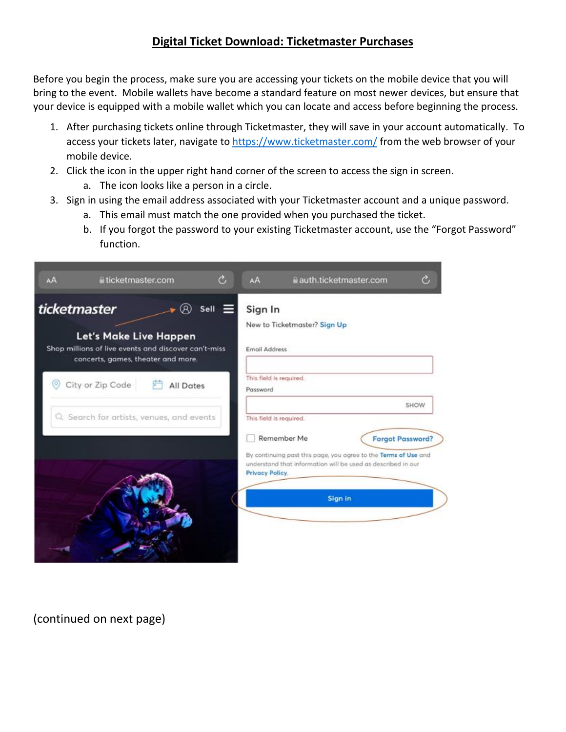## **Digital Ticket Download: Ticketmaster Purchases**

Before you begin the process, make sure you are accessing your tickets on the mobile device that you will bring to the event. Mobile wallets have become a standard feature on most newer devices, but ensure that your device is equipped with a mobile wallet which you can locate and access before beginning the process.

- 1. After purchasing tickets online through Ticketmaster, they will save in your account automatically. To access your tickets later, navigate to<https://www.ticketmaster.com/> from the web browser of your mobile device.
- 2. Click the icon in the upper right hand corner of the screen to access the sign in screen.
	- a. The icon looks like a person in a circle.
- 3. Sign in using the email address associated with your Ticketmaster account and a unique password.
	- a. This email must match the one provided when you purchased the ticket.
	- b. If you forgot the password to your existing Ticketmaster account, use the "Forgot Password" function.

| AA             | ticketmaster.com                                                                                                     |           | c,            | AA                                  | auth.ticketmaster.com                                                                                                           |                         | c    |
|----------------|----------------------------------------------------------------------------------------------------------------------|-----------|---------------|-------------------------------------|---------------------------------------------------------------------------------------------------------------------------------|-------------------------|------|
| ticketmaster   | Let's Make Live Happen<br>Shop millions of live events and discover can't-miss<br>concerts, games, theater and more. |           | Sell $\equiv$ | Sign In<br><b>Email Address</b>     | New to Ticketmaster? Sign Up                                                                                                    |                         |      |
| $\circledcirc$ | City or Zip Code                                                                                                     | All Dates |               | This field is required.<br>Password |                                                                                                                                 |                         |      |
|                | Q Search for artists, venues, and events                                                                             |           |               | This field is required.             | Remember Me                                                                                                                     | <b>Forgot Password?</b> | SHOW |
|                |                                                                                                                      |           |               | Privacy Policy.                     | By continuing past this page, you agree to the Terms of Use and<br>understand that information will be used as described in our |                         |      |
|                |                                                                                                                      |           |               |                                     | Sign in                                                                                                                         |                         |      |

(continued on next page)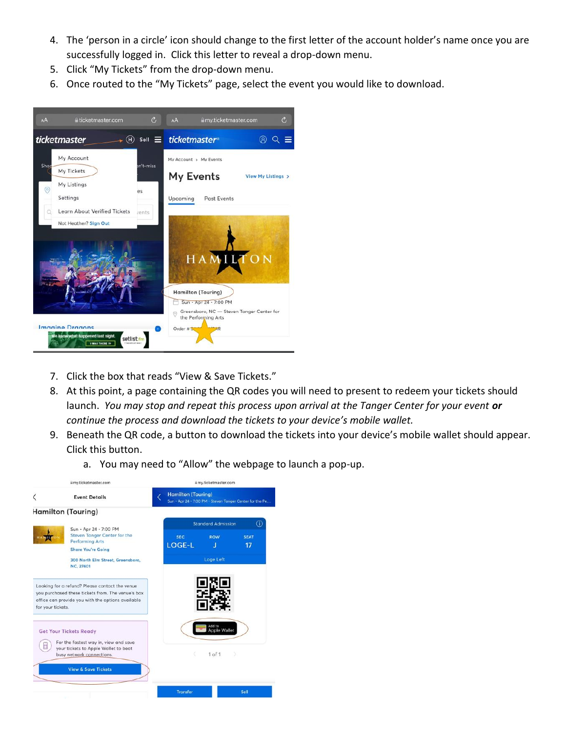- 4. The 'person in a circle' icon should change to the first letter of the account holder's name once you are successfully logged in. Click this letter to reveal a drop-down menu.
- 5. Click "My Tickets" from the drop-down menu.
- 6. Once routed to the "My Tickets" page, select the event you would like to download.



- 7. Click the box that reads "View & Save Tickets."
- 8. At this point, a page containing the QR codes you will need to present to redeem your tickets should launch. *You may stop and repeat this process upon arrival at the Tanger Center for your event or continue the process and download the tickets to your device's mobile wallet.*
- 9. Beneath the QR code, a button to download the tickets into your device's mobile wallet should appear. Click this button.
	- a. You may need to "Allow" the webpage to launch a pop-up.